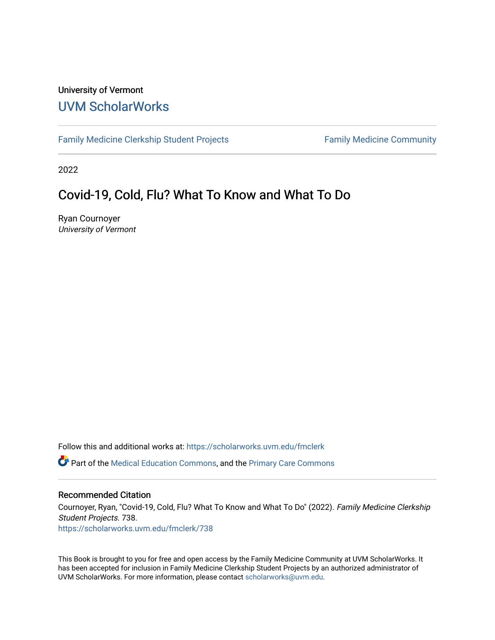#### University of Vermont [UVM ScholarWorks](https://scholarworks.uvm.edu/)

[Family Medicine Clerkship Student Projects](https://scholarworks.uvm.edu/fmclerk) Family Medicine Community

2022

### Covid-19, Cold, Flu? What To Know and What To Do

Ryan Cournoyer University of Vermont

Follow this and additional works at: [https://scholarworks.uvm.edu/fmclerk](https://scholarworks.uvm.edu/fmclerk?utm_source=scholarworks.uvm.edu%2Ffmclerk%2F738&utm_medium=PDF&utm_campaign=PDFCoverPages) 

Part of the [Medical Education Commons,](http://network.bepress.com/hgg/discipline/1125?utm_source=scholarworks.uvm.edu%2Ffmclerk%2F738&utm_medium=PDF&utm_campaign=PDFCoverPages) and the [Primary Care Commons](http://network.bepress.com/hgg/discipline/1092?utm_source=scholarworks.uvm.edu%2Ffmclerk%2F738&utm_medium=PDF&utm_campaign=PDFCoverPages) 

#### Recommended Citation

Cournoyer, Ryan, "Covid-19, Cold, Flu? What To Know and What To Do" (2022). Family Medicine Clerkship Student Projects. 738. [https://scholarworks.uvm.edu/fmclerk/738](https://scholarworks.uvm.edu/fmclerk/738?utm_source=scholarworks.uvm.edu%2Ffmclerk%2F738&utm_medium=PDF&utm_campaign=PDFCoverPages) 

This Book is brought to you for free and open access by the Family Medicine Community at UVM ScholarWorks. It has been accepted for inclusion in Family Medicine Clerkship Student Projects by an authorized administrator of UVM ScholarWorks. For more information, please contact [scholarworks@uvm.edu.](mailto:scholarworks@uvm.edu)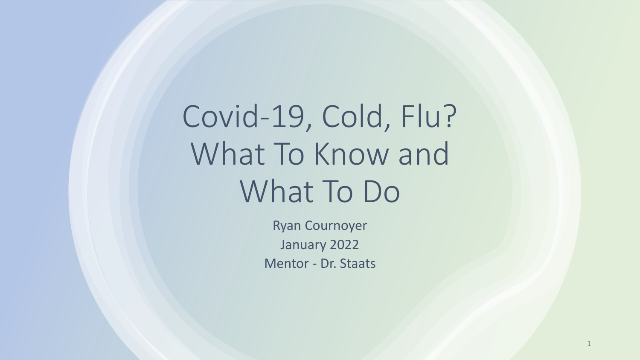Covid-19, Cold, Flu? What To Know and What To Do

> Ryan Cournoyer January 2022 Mentor - Dr. Staats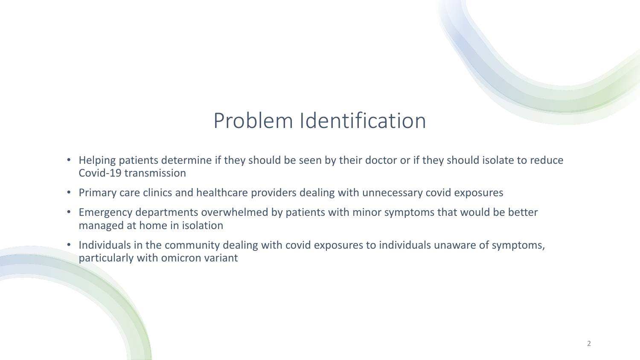# Problem Identification

- Helping patients determine if they should be seen by their doctor or if they should isolate to reduce Covid-19 transmission
- Primary care clinics and healthcare providers dealing with unnecessary covid exposures
- Emergency departments overwhelmed by patients with minor symptoms that would be better managed at home in isolation
- Individuals in the community dealing with covid exposures to individuals unaware of symptoms, particularly with omicron variant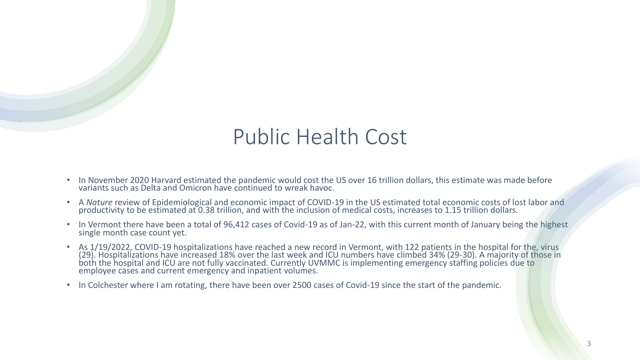## Public Health Cost

- In November 2020 Harvard estimated the pandemic would cost the US over 16 trillion dollars, this estimate was made before variants such as Delta and Omicron have continued to wreak havoc.
- A *Nature* review of Epidemiological and economic impact of COVID-19 in the US estimated total economic costs of lost labor and productivity to be estimated at 0.38 trillion, and with the inclusion of medical costs, increases to 1.15 trillion dollars.
- In Vermont there have been a total of 96,412 cases of Covid-19 as of Jan-22, with this current month of January being the highest single month case count yet.
- As 1/19/2022, COVID-19 hospitalizations have reached a new record in Vermont, with 122 patients in the hospital for the, virus (29). Hospitalizations have increased 18% over the last week and ICU numbers have climbed 34% (29-30). A majority of those in both the hospital and ICU are not fully vaccinated. Currently UVMMC is implementing emergency staffing policies due to employee cases and current emergency and inpatient volumes.
- In Colchester where I am rotating, there have been over 2500 cases of Covid-19 since the start of the pandemic.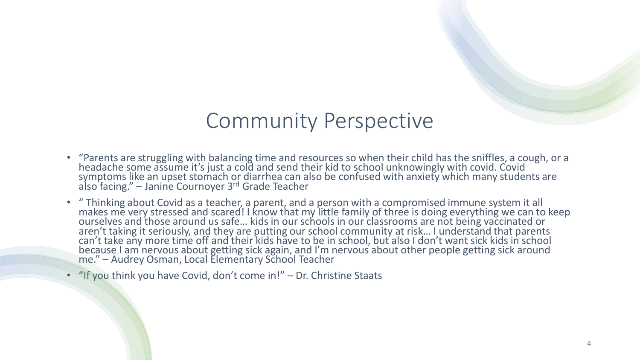## Community Perspective

- "Parents are struggling with balancing time and resources so when their child has the sniffles, a cough, or a headache some assume it's just a cold and send their kid to school unknowingly with covid. Covid symptoms like an upset stomach or diarrhea can also be confused with anxiety which many students are also facing." – Janine Cournoyer 3rd Grade Teacher
- " Thinking about Covid as a teacher, a parent, and a person with a compromised immune system it all makes me very stressed and scared! I know that my little family of three is doing everything we can to keep ourselves and those around us safe… kids in our schools in our classrooms are not being vaccinated or aren't taking it seriously, and they are putting our school community at risk... I understand that parents can't take any more time off and their kids have to be in school, but also I don't want sick kids in school because I am nervous about getting sick again, and I'm nervous about other people getting sick around me." – Audrey Osman, Local Elementary School Teacher
- "If you think you have Covid, don't come in!" Dr. Christine Staats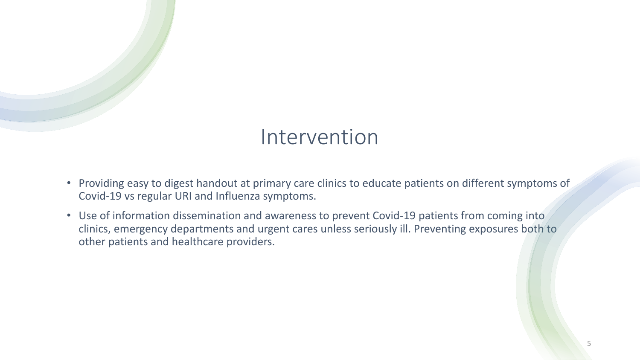## Intervention

- Providing easy to digest handout at primary care clinics to educate patients on different symptoms of Covid-19 vs regular URI and Influenza symptoms.
- Use of information dissemination and awareness to prevent Covid-19 patients from coming into clinics, emergency departments and urgent cares unless seriously ill. Preventing exposures both to other patients and healthcare providers.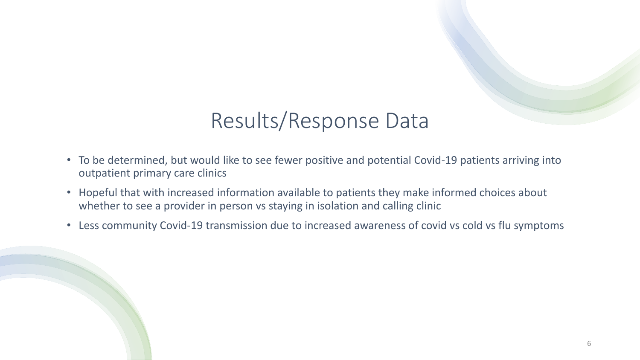# Results/Response Data

- To be determined, but would like to see fewer positive and potential Covid-19 patients arriving into outpatient primary care clinics
- Hopeful that with increased information available to patients they make informed choices about whether to see a provider in person vs staying in isolation and calling clinic
- Less community Covid-19 transmission due to increased awareness of covid vs cold vs flu symptoms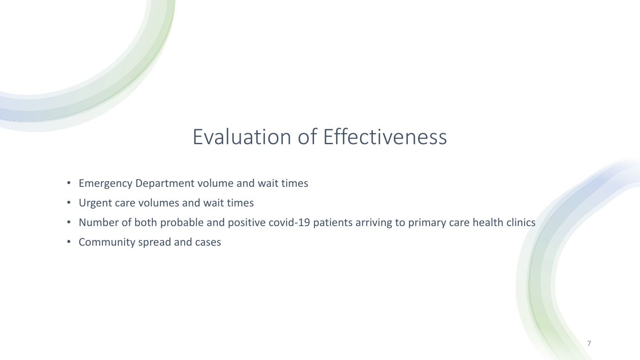# Evaluation of Effectiveness

- Emergency Department volume and wait times
- Urgent care volumes and wait times
- Number of both probable and positive covid-19 patients arriving to primary care health clinics
- Community spread and cases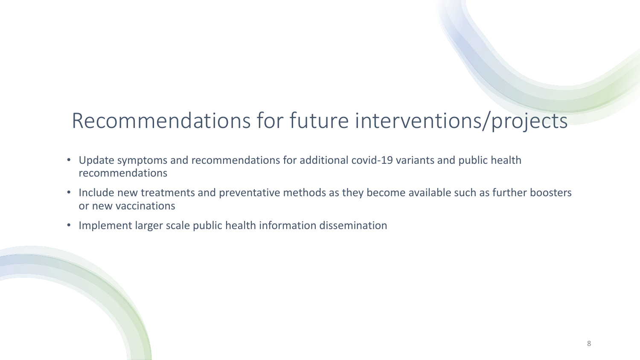# Recommendations for future interventions/projects

- Update symptoms and recommendations for additional covid-19 variants and public health recommendations
- Include new treatments and preventative methods as they become available such as further boosters or new vaccinations
- Implement larger scale public health information dissemination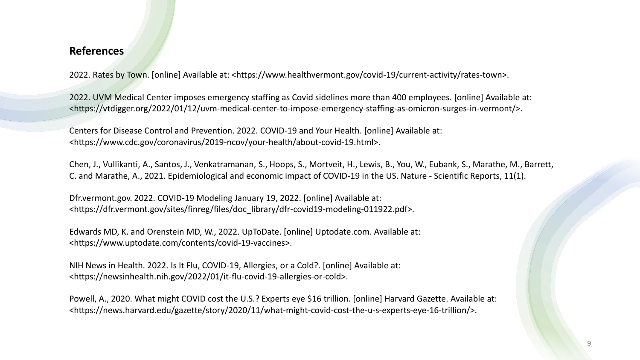#### **References**

2022. Rates by Town. [online] Available at: <https://www.healthvermont.gov/covid-19/current-activity/rates-town>.

2022. UVM Medical Center imposes emergency staffing as Covid sidelines more than 400 employees. [online] Available at: <https://vtdigger.org/2022/01/12/uvm-medical-center-to-impose-emergency-staffing-as-omicron-surges-in-vermont/>.

Centers for Disease Control and Prevention. 2022. COVID-19 and Your Health. [online] Available at: <https://www.cdc.gov/coronavirus/2019-ncov/your-health/about-covid-19.html>.

Chen, J., Vullikanti, A., Santos, J., Venkatramanan, S., Hoops, S., Mortveit, H., Lewis, B., You, W., Eubank, S., Marathe, M., Barrett, C. and Marathe, A., 2021. Epidemiological and economic impact of COVID-19 in the US. Nature - Scientific Reports, 11(1).

Dfr.vermont.gov. 2022. COVID-19 Modeling January 19, 2022. [online] Available at: <https://dfr.vermont.gov/sites/finreg/files/doc\_library/dfr-covid19-modeling-011922.pdf>.

Edwards MD, K. and Orenstein MD, W., 2022. UpToDate. [online] Uptodate.com. Available at: <https://www.uptodate.com/contents/covid-19-vaccines>.

NIH News in Health. 2022. Is It Flu, COVID-19, Allergies, or a Cold?. [online] Available at: <https://newsinhealth.nih.gov/2022/01/it-flu-covid-19-allergies-or-cold>.

Powell, A., 2020. What might COVID cost the U.S.? Experts eye \$16 trillion. [online] Harvard Gazette. Available at: <https://news.harvard.edu/gazette/story/2020/11/what-might-covid-cost-the-u-s-experts-eye-16-trillion/>.